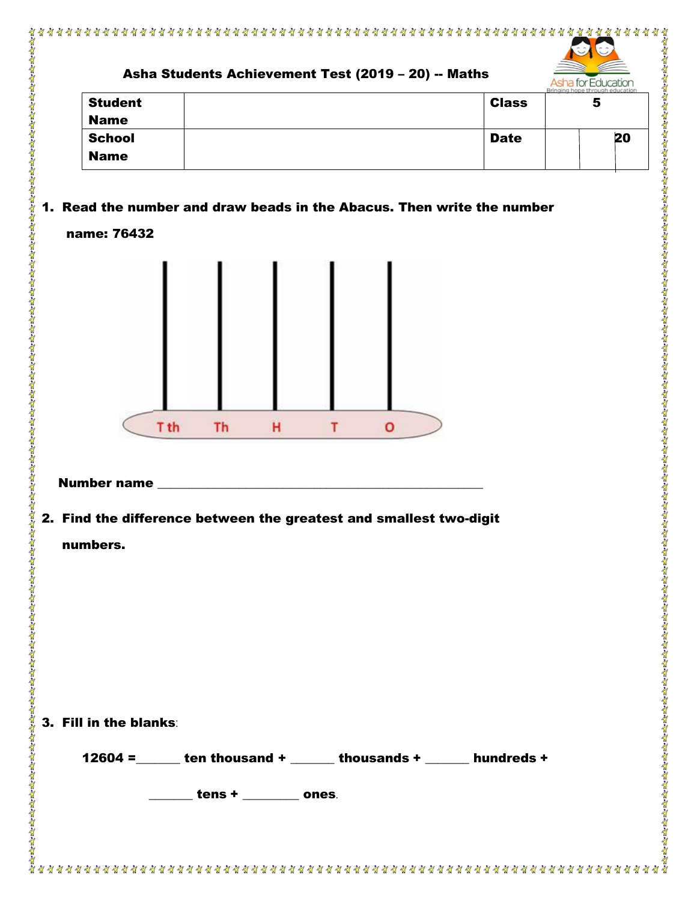| <b>Number name</b><br>numbers.<br>3. Fill in the blanks:               | As the Students Achievement Test (2019 – 20) – Maths<br>As has Students Achievement Test (2019 – 20) – Maths<br>Student<br>Mame<br>The Maths<br>The Third History<br>This History<br>This History<br>This History<br>This History<br>This History<br>2. Find the difference between the greatest and smallest two-digit |  |  |
|------------------------------------------------------------------------|-------------------------------------------------------------------------------------------------------------------------------------------------------------------------------------------------------------------------------------------------------------------------------------------------------------------------|--|--|
|                                                                        |                                                                                                                                                                                                                                                                                                                         |  |  |
| $12604 =$ _______ ten thousand + _______ thousands + ______ hundreds + |                                                                                                                                                                                                                                                                                                                         |  |  |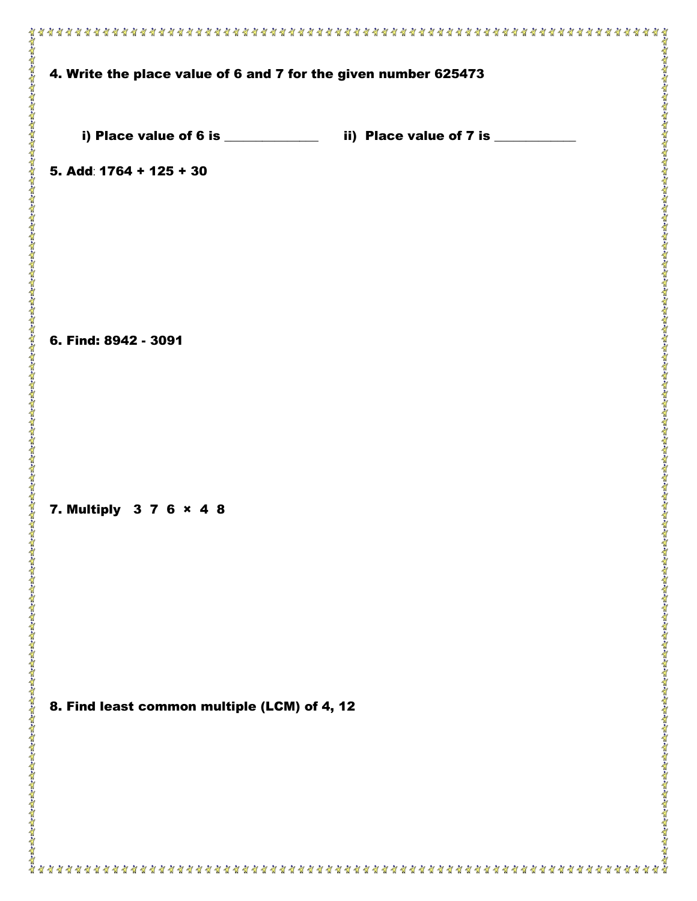| $\begin{array}{ c c } \hline \texttt{4} & \texttt{4} & \texttt{4} & \texttt{4} & \texttt{4} & \texttt{4} & \texttt{4} & \texttt{4} & \texttt{4} & \texttt{4} & \texttt{4} & \texttt{4} & \texttt{4} & \texttt{4} & \texttt{4} & \texttt{4} & \texttt{4} & \texttt{4} & \texttt{4} & \texttt{4} & \texttt{4} & \texttt{4} & \texttt{4} & \texttt{4} & \texttt{4} & \texttt{4} & \texttt{4} & \texttt{4} & \texttt{4} & \texttt$ |  |
|--------------------------------------------------------------------------------------------------------------------------------------------------------------------------------------------------------------------------------------------------------------------------------------------------------------------------------------------------------------------------------------------------------------------------------|--|
|                                                                                                                                                                                                                                                                                                                                                                                                                                |  |
|                                                                                                                                                                                                                                                                                                                                                                                                                                |  |
|                                                                                                                                                                                                                                                                                                                                                                                                                                |  |
|                                                                                                                                                                                                                                                                                                                                                                                                                                |  |
|                                                                                                                                                                                                                                                                                                                                                                                                                                |  |
|                                                                                                                                                                                                                                                                                                                                                                                                                                |  |
|                                                                                                                                                                                                                                                                                                                                                                                                                                |  |
|                                                                                                                                                                                                                                                                                                                                                                                                                                |  |
|                                                                                                                                                                                                                                                                                                                                                                                                                                |  |
|                                                                                                                                                                                                                                                                                                                                                                                                                                |  |
|                                                                                                                                                                                                                                                                                                                                                                                                                                |  |
|                                                                                                                                                                                                                                                                                                                                                                                                                                |  |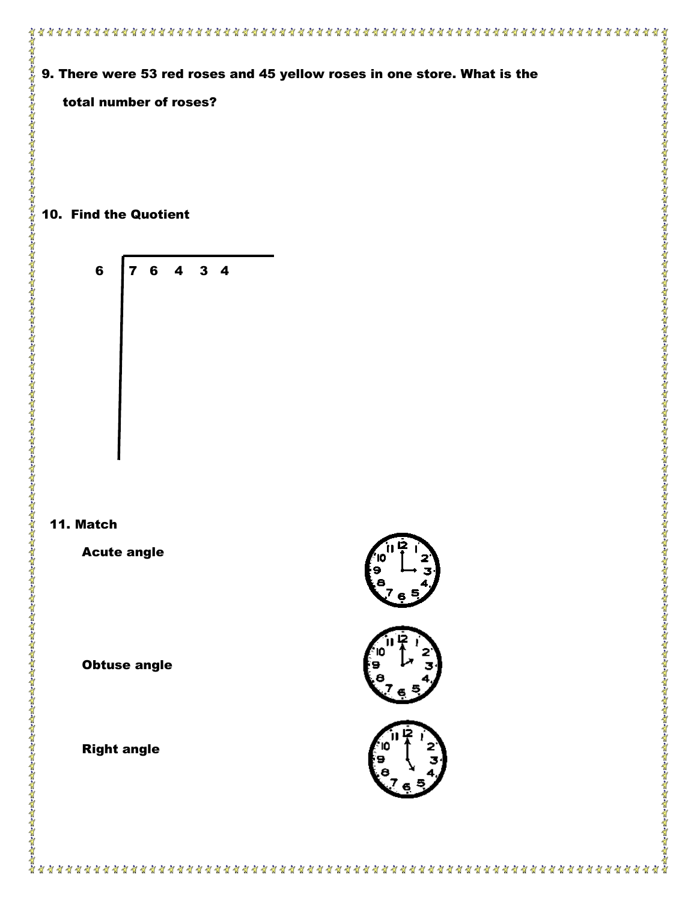